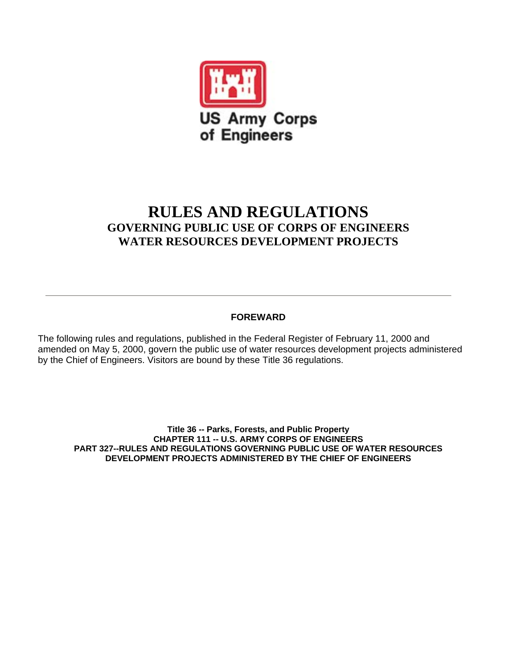

## **RULES AND REGULATIONS GOVERNING PUBLIC USE OF CORPS OF ENGINEERS WATER RESOURCES DEVELOPMENT PROJECTS**

## **FOREWARD**

The following rules and regulations, published in the Federal Register of February 11, 2000 and amended on May 5, 2000, govern the public use of water resources development projects administered by the Chief of Engineers. Visitors are bound by these Title 36 regulations.

**Title 36 -- Parks, Forests, and Public Property CHAPTER 111 -- U.S. ARMY CORPS OF ENGINEERS PART 327--RULES AND REGULATIONS GOVERNING PUBLIC USE OF WATER RESOURCES DEVELOPMENT PROJECTS ADMINISTERED BY THE CHIEF OF ENGINEERS**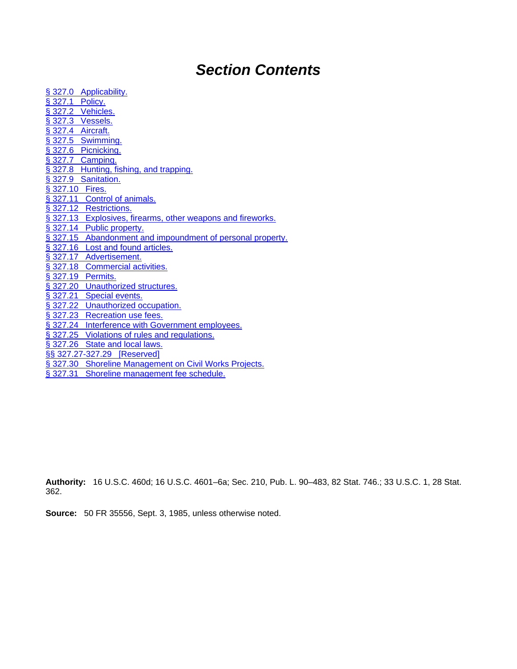# *Section Contents*

| § 327.0 Applicability.                                      |
|-------------------------------------------------------------|
| § 327.1 Policy.                                             |
| § 327.2 Vehicles.                                           |
| § 327.3 Vessels.                                            |
| § 327.4 Aircraft.                                           |
| § 327.5 Swimming.                                           |
| § 327.6 Picnicking.                                         |
| § 327.7 Camping.                                            |
| § 327.8 Hunting, fishing, and trapping.                     |
| § 327.9 Sanitation.                                         |
| § 327.10 Fires.                                             |
| § 327.11 Control of animals.                                |
| § 327.12 Restrictions.                                      |
| § 327.13 Explosives, firearms, other weapons and fireworks. |
| § 327.14 Public property.                                   |
| § 327.15 Abandonment and impoundment of personal property.  |
| § 327.16 Lost and found articles.                           |
| § 327.17 Advertisement.                                     |
| § 327.18 Commercial activities.                             |
| § 327.19 Permits.                                           |
| § 327.20 Unauthorized structures.                           |
| § 327.21 Special events.                                    |
| § 327.22 Unauthorized occupation.                           |
| § 327.23 Recreation use fees.                               |
| § 327.24 Interference with Government employees.            |
| § 327.25 Violations of rules and regulations.               |
| § 327.26 State and local laws.                              |
| §§ 327.27-327.29 [Reserved]                                 |
| § 327.30 Shoreline Management on Civil Works Projects.      |
| Shoreline management fee schedule.<br>\$327.31              |

**Authority:** 16 U.S.C. 460d; 16 U.S.C. 4601–6a; Sec. 210, Pub. L. 90–483, 82 Stat. 746.; 33 U.S.C. 1, 28 Stat. 362.

**Source:** 50 FR 35556, Sept. 3, 1985, unless otherwise noted.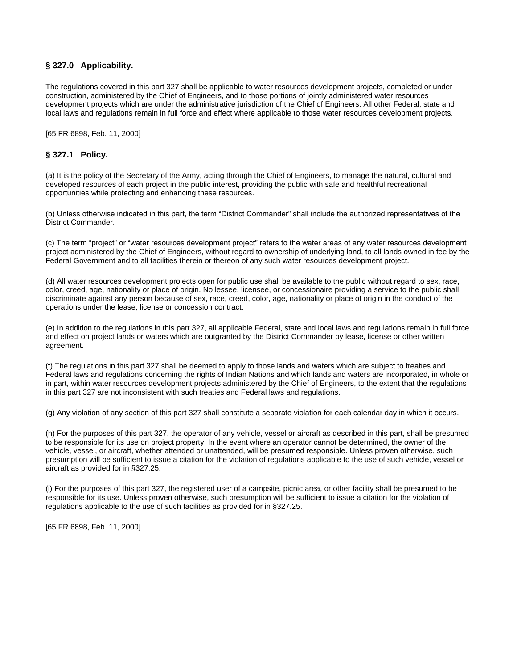## <span id="page-2-0"></span>**§ 327.0 Applicability.**

The regulations covered in this part 327 shall be applicable to water resources development projects, completed or under construction, administered by the Chief of Engineers, and to those portions of jointly administered water resources development projects which are under the administrative jurisdiction of the Chief of Engineers. All other Federal, state and local laws and regulations remain in full force and effect where applicable to those water resources development projects.

[65 FR 6898, Feb. 11, 2000]

#### **§ 327.1 Policy.**

(a) It is the policy of the Secretary of the Army, acting through the Chief of Engineers, to manage the natural, cultural and developed resources of each project in the public interest, providing the public with safe and healthful recreational opportunities while protecting and enhancing these resources.

(b) Unless otherwise indicated in this part, the term "District Commander" shall include the authorized representatives of the District Commander.

(c) The term "project" or "water resources development project" refers to the water areas of any water resources development project administered by the Chief of Engineers, without regard to ownership of underlying land, to all lands owned in fee by the Federal Government and to all facilities therein or thereon of any such water resources development project.

(d) All water resources development projects open for public use shall be available to the public without regard to sex, race, color, creed, age, nationality or place of origin. No lessee, licensee, or concessionaire providing a service to the public shall discriminate against any person because of sex, race, creed, color, age, nationality or place of origin in the conduct of the operations under the lease, license or concession contract.

(e) In addition to the regulations in this part 327, all applicable Federal, state and local laws and regulations remain in full force and effect on project lands or waters which are outgranted by the District Commander by lease, license or other written agreement.

(f) The regulations in this part 327 shall be deemed to apply to those lands and waters which are subject to treaties and Federal laws and regulations concerning the rights of Indian Nations and which lands and waters are incorporated, in whole or in part, within water resources development projects administered by the Chief of Engineers, to the extent that the regulations in this part 327 are not inconsistent with such treaties and Federal laws and regulations.

(g) Any violation of any section of this part 327 shall constitute a separate violation for each calendar day in which it occurs.

(h) For the purposes of this part 327, the operator of any vehicle, vessel or aircraft as described in this part, shall be presumed to be responsible for its use on project property. In the event where an operator cannot be determined, the owner of the vehicle, vessel, or aircraft, whether attended or unattended, will be presumed responsible. Unless proven otherwise, such presumption will be sufficient to issue a citation for the violation of regulations applicable to the use of such vehicle, vessel or aircraft as provided for in §327.25.

(i) For the purposes of this part 327, the registered user of a campsite, picnic area, or other facility shall be presumed to be responsible for its use. Unless proven otherwise, such presumption will be sufficient to issue a citation for the violation of regulations applicable to the use of such facilities as provided for in §327.25.

[65 FR 6898, Feb. 11, 2000]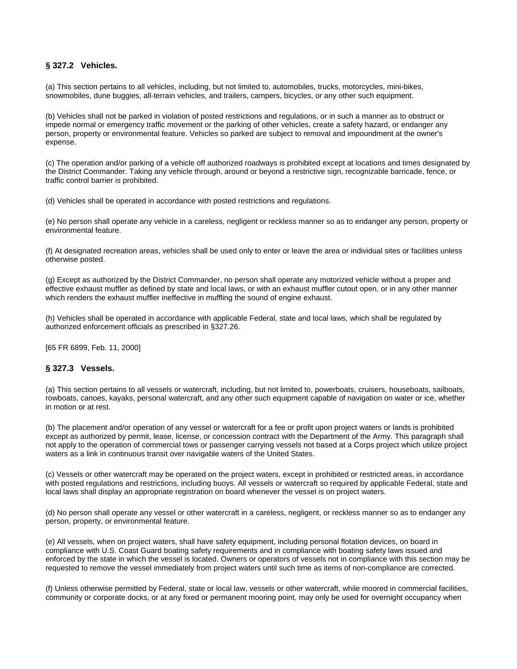## <span id="page-3-0"></span>**§ 327.2 Vehicles.**

(a) This section pertains to all vehicles, including, but not limited to, automobiles, trucks, motorcycles, mini-bikes, snowmobiles, dune buggies, all-terrain vehicles, and trailers, campers, bicycles, or any other such equipment.

(b) Vehicles shall not be parked in violation of posted restrictions and regulations, or in such a manner as to obstruct or impede normal or emergency traffic movement or the parking of other vehicles, create a safety hazard, or endanger any person, property or environmental feature. Vehicles so parked are subject to removal and impoundment at the owner's expense.

(c) The operation and/or parking of a vehicle off authorized roadways is prohibited except at locations and times designated by the District Commander. Taking any vehicle through, around or beyond a restrictive sign, recognizable barricade, fence, or traffic control barrier is prohibited.

(d) Vehicles shall be operated in accordance with posted restrictions and regulations.

(e) No person shall operate any vehicle in a careless, negligent or reckless manner so as to endanger any person, property or environmental feature.

(f) At designated recreation areas, vehicles shall be used only to enter or leave the area or individual sites or facilities unless otherwise posted.

(g) Except as authorized by the District Commander, no person shall operate any motorized vehicle without a proper and effective exhaust muffler as defined by state and local laws, or with an exhaust muffler cutout open, or in any other manner which renders the exhaust muffler ineffective in muffling the sound of engine exhaust.

(h) Vehicles shall be operated in accordance with applicable Federal, state and local laws, which shall be regulated by authorized enforcement officials as prescribed in §327.26.

[65 FR 6899, Feb. 11, 2000]

## **§ 327.3 Vessels.**

(a) This section pertains to all vessels or watercraft, including, but not limited to, powerboats, cruisers, houseboats, sailboats, rowboats, canoes, kayaks, personal watercraft, and any other such equipment capable of navigation on water or ice, whether in motion or at rest.

(b) The placement and/or operation of any vessel or watercraft for a fee or profit upon project waters or lands is prohibited except as authorized by permit, lease, license, or concession contract with the Department of the Army. This paragraph shall not apply to the operation of commercial tows or passenger carrying vessels not based at a Corps project which utilize project waters as a link in continuous transit over navigable waters of the United States.

(c) Vessels or other watercraft may be operated on the project waters, except in prohibited or restricted areas, in accordance with posted regulations and restrictions, including buoys. All vessels or watercraft so required by applicable Federal, state and local laws shall display an appropriate registration on board whenever the vessel is on project waters.

(d) No person shall operate any vessel or other watercraft in a careless, negligent, or reckless manner so as to endanger any person, property, or environmental feature.

(e) All vessels, when on project waters, shall have safety equipment, including personal flotation devices, on board in compliance with U.S. Coast Guard boating safety requirements and in compliance with boating safety laws issued and enforced by the state in which the vessel is located. Owners or operators of vessels not in compliance with this section may be requested to remove the vessel immediately from project waters until such time as items of non-compliance are corrected.

(f) Unless otherwise permitted by Federal, state or local law, vessels or other watercraft, while moored in commercial facilities, community or corporate docks, or at any fixed or permanent mooring point, may only be used for overnight occupancy when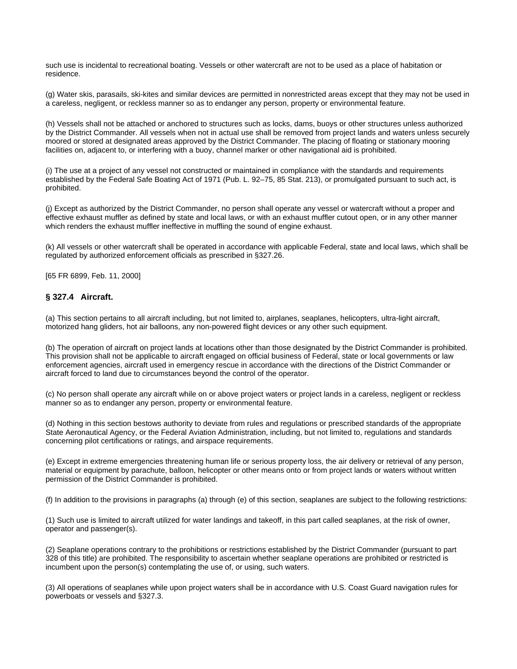<span id="page-4-0"></span>such use is incidental to recreational boating. Vessels or other watercraft are not to be used as a place of habitation or residence.

(g) Water skis, parasails, ski-kites and similar devices are permitted in nonrestricted areas except that they may not be used in a careless, negligent, or reckless manner so as to endanger any person, property or environmental feature.

(h) Vessels shall not be attached or anchored to structures such as locks, dams, buoys or other structures unless authorized by the District Commander. All vessels when not in actual use shall be removed from project lands and waters unless securely moored or stored at designated areas approved by the District Commander. The placing of floating or stationary mooring facilities on, adjacent to, or interfering with a buoy, channel marker or other navigational aid is prohibited.

(i) The use at a project of any vessel not constructed or maintained in compliance with the standards and requirements established by the Federal Safe Boating Act of 1971 (Pub. L. 92–75, 85 Stat. 213), or promulgated pursuant to such act, is prohibited.

(j) Except as authorized by the District Commander, no person shall operate any vessel or watercraft without a proper and effective exhaust muffler as defined by state and local laws, or with an exhaust muffler cutout open, or in any other manner which renders the exhaust muffler ineffective in muffling the sound of engine exhaust.

(k) All vessels or other watercraft shall be operated in accordance with applicable Federal, state and local laws, which shall be regulated by authorized enforcement officials as prescribed in §327.26.

[65 FR 6899, Feb. 11, 2000]

#### **§ 327.4 Aircraft.**

(a) This section pertains to all aircraft including, but not limited to, airplanes, seaplanes, helicopters, ultra-light aircraft, motorized hang gliders, hot air balloons, any non-powered flight devices or any other such equipment.

(b) The operation of aircraft on project lands at locations other than those designated by the District Commander is prohibited. This provision shall not be applicable to aircraft engaged on official business of Federal, state or local governments or law enforcement agencies, aircraft used in emergency rescue in accordance with the directions of the District Commander or aircraft forced to land due to circumstances beyond the control of the operator.

(c) No person shall operate any aircraft while on or above project waters or project lands in a careless, negligent or reckless manner so as to endanger any person, property or environmental feature.

(d) Nothing in this section bestows authority to deviate from rules and regulations or prescribed standards of the appropriate State Aeronautical Agency, or the Federal Aviation Administration, including, but not limited to, regulations and standards concerning pilot certifications or ratings, and airspace requirements.

(e) Except in extreme emergencies threatening human life or serious property loss, the air delivery or retrieval of any person, material or equipment by parachute, balloon, helicopter or other means onto or from project lands or waters without written permission of the District Commander is prohibited.

(f) In addition to the provisions in paragraphs (a) through (e) of this section, seaplanes are subject to the following restrictions:

(1) Such use is limited to aircraft utilized for water landings and takeoff, in this part called seaplanes, at the risk of owner, operator and passenger(s).

(2) Seaplane operations contrary to the prohibitions or restrictions established by the District Commander (pursuant to part 328 of this title) are prohibited. The responsibility to ascertain whether seaplane operations are prohibited or restricted is incumbent upon the person(s) contemplating the use of, or using, such waters.

(3) All operations of seaplanes while upon project waters shall be in accordance with U.S. Coast Guard navigation rules for powerboats or vessels and §327.3.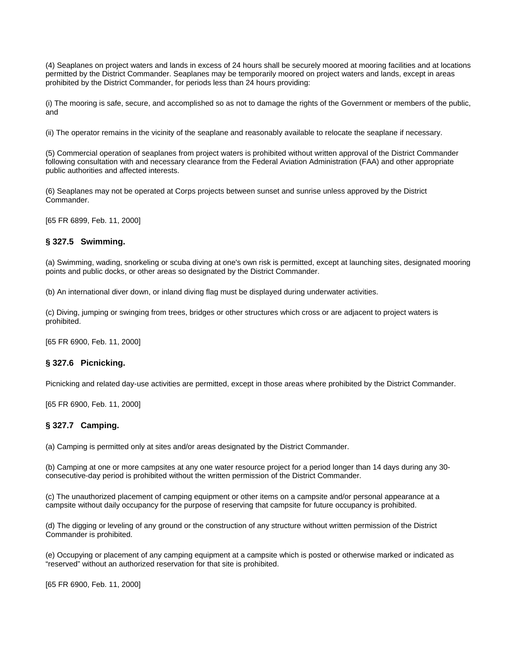<span id="page-5-0"></span>(4) Seaplanes on project waters and lands in excess of 24 hours shall be securely moored at mooring facilities and at locations permitted by the District Commander. Seaplanes may be temporarily moored on project waters and lands, except in areas prohibited by the District Commander, for periods less than 24 hours providing:

(i) The mooring is safe, secure, and accomplished so as not to damage the rights of the Government or members of the public, and

(ii) The operator remains in the vicinity of the seaplane and reasonably available to relocate the seaplane if necessary.

(5) Commercial operation of seaplanes from project waters is prohibited without written approval of the District Commander following consultation with and necessary clearance from the Federal Aviation Administration (FAA) and other appropriate public authorities and affected interests.

(6) Seaplanes may not be operated at Corps projects between sunset and sunrise unless approved by the District Commander.

[65 FR 6899, Feb. 11, 2000]

#### **§ 327.5 Swimming.**

(a) Swimming, wading, snorkeling or scuba diving at one's own risk is permitted, except at launching sites, designated mooring points and public docks, or other areas so designated by the District Commander.

(b) An international diver down, or inland diving flag must be displayed during underwater activities.

(c) Diving, jumping or swinging from trees, bridges or other structures which cross or are adjacent to project waters is prohibited.

[65 FR 6900, Feb. 11, 2000]

#### **§ 327.6 Picnicking.**

Picnicking and related day-use activities are permitted, except in those areas where prohibited by the District Commander.

[65 FR 6900, Feb. 11, 2000]

## **§ 327.7 Camping.**

(a) Camping is permitted only at sites and/or areas designated by the District Commander.

(b) Camping at one or more campsites at any one water resource project for a period longer than 14 days during any 30 consecutive-day period is prohibited without the written permission of the District Commander.

(c) The unauthorized placement of camping equipment or other items on a campsite and/or personal appearance at a campsite without daily occupancy for the purpose of reserving that campsite for future occupancy is prohibited.

(d) The digging or leveling of any ground or the construction of any structure without written permission of the District Commander is prohibited.

(e) Occupying or placement of any camping equipment at a campsite which is posted or otherwise marked or indicated as "reserved" without an authorized reservation for that site is prohibited.

[65 FR 6900, Feb. 11, 2000]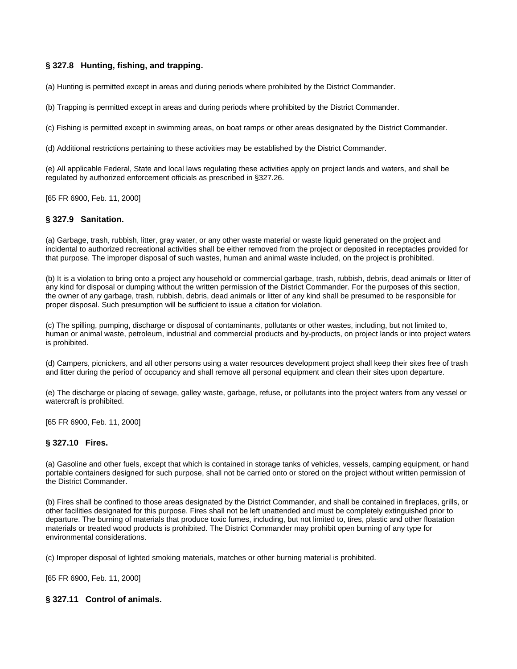## <span id="page-6-0"></span>**§ 327.8 Hunting, fishing, and trapping.**

(a) Hunting is permitted except in areas and during periods where prohibited by the District Commander.

(b) Trapping is permitted except in areas and during periods where prohibited by the District Commander.

(c) Fishing is permitted except in swimming areas, on boat ramps or other areas designated by the District Commander.

(d) Additional restrictions pertaining to these activities may be established by the District Commander.

(e) All applicable Federal, State and local laws regulating these activities apply on project lands and waters, and shall be regulated by authorized enforcement officials as prescribed in §327.26.

[65 FR 6900, Feb. 11, 2000]

## **§ 327.9 Sanitation.**

(a) Garbage, trash, rubbish, litter, gray water, or any other waste material or waste liquid generated on the project and incidental to authorized recreational activities shall be either removed from the project or deposited in receptacles provided for that purpose. The improper disposal of such wastes, human and animal waste included, on the project is prohibited.

(b) It is a violation to bring onto a project any household or commercial garbage, trash, rubbish, debris, dead animals or litter of any kind for disposal or dumping without the written permission of the District Commander. For the purposes of this section, the owner of any garbage, trash, rubbish, debris, dead animals or litter of any kind shall be presumed to be responsible for proper disposal. Such presumption will be sufficient to issue a citation for violation.

(c) The spilling, pumping, discharge or disposal of contaminants, pollutants or other wastes, including, but not limited to, human or animal waste, petroleum, industrial and commercial products and by-products, on project lands or into project waters is prohibited.

(d) Campers, picnickers, and all other persons using a water resources development project shall keep their sites free of trash and litter during the period of occupancy and shall remove all personal equipment and clean their sites upon departure.

(e) The discharge or placing of sewage, galley waste, garbage, refuse, or pollutants into the project waters from any vessel or watercraft is prohibited.

[65 FR 6900, Feb. 11, 2000]

#### **§ 327.10 Fires.**

(a) Gasoline and other fuels, except that which is contained in storage tanks of vehicles, vessels, camping equipment, or hand portable containers designed for such purpose, shall not be carried onto or stored on the project without written permission of the District Commander.

(b) Fires shall be confined to those areas designated by the District Commander, and shall be contained in fireplaces, grills, or other facilities designated for this purpose. Fires shall not be left unattended and must be completely extinguished prior to departure. The burning of materials that produce toxic fumes, including, but not limited to, tires, plastic and other floatation materials or treated wood products is prohibited. The District Commander may prohibit open burning of any type for environmental considerations.

(c) Improper disposal of lighted smoking materials, matches or other burning material is prohibited.

[65 FR 6900, Feb. 11, 2000]

## **§ 327.11 Control of animals.**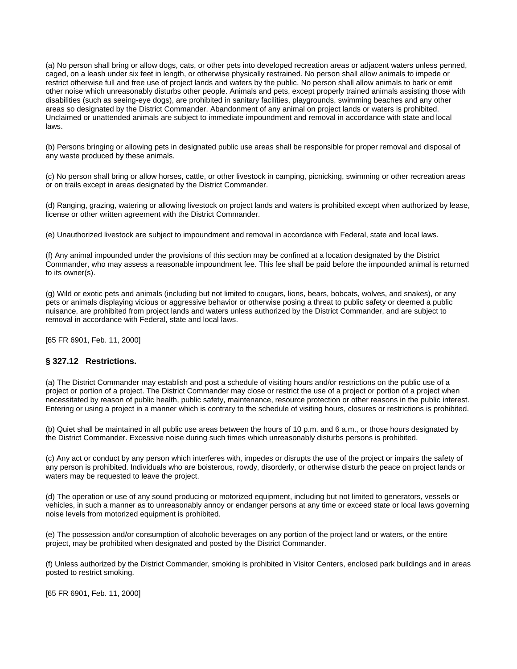<span id="page-7-0"></span>(a) No person shall bring or allow dogs, cats, or other pets into developed recreation areas or adjacent waters unless penned, caged, on a leash under six feet in length, or otherwise physically restrained. No person shall allow animals to impede or restrict otherwise full and free use of project lands and waters by the public. No person shall allow animals to bark or emit other noise which unreasonably disturbs other people. Animals and pets, except properly trained animals assisting those with disabilities (such as seeing-eye dogs), are prohibited in sanitary facilities, playgrounds, swimming beaches and any other areas so designated by the District Commander. Abandonment of any animal on project lands or waters is prohibited. Unclaimed or unattended animals are subject to immediate impoundment and removal in accordance with state and local laws.

(b) Persons bringing or allowing pets in designated public use areas shall be responsible for proper removal and disposal of any waste produced by these animals.

(c) No person shall bring or allow horses, cattle, or other livestock in camping, picnicking, swimming or other recreation areas or on trails except in areas designated by the District Commander.

(d) Ranging, grazing, watering or allowing livestock on project lands and waters is prohibited except when authorized by lease, license or other written agreement with the District Commander.

(e) Unauthorized livestock are subject to impoundment and removal in accordance with Federal, state and local laws.

(f) Any animal impounded under the provisions of this section may be confined at a location designated by the District Commander, who may assess a reasonable impoundment fee. This fee shall be paid before the impounded animal is returned to its owner(s).

(g) Wild or exotic pets and animals (including but not limited to cougars, lions, bears, bobcats, wolves, and snakes), or any pets or animals displaying vicious or aggressive behavior or otherwise posing a threat to public safety or deemed a public nuisance, are prohibited from project lands and waters unless authorized by the District Commander, and are subject to removal in accordance with Federal, state and local laws.

[65 FR 6901, Feb. 11, 2000]

#### **§ 327.12 Restrictions.**

(a) The District Commander may establish and post a schedule of visiting hours and/or restrictions on the public use of a project or portion of a project. The District Commander may close or restrict the use of a project or portion of a project when necessitated by reason of public health, public safety, maintenance, resource protection or other reasons in the public interest. Entering or using a project in a manner which is contrary to the schedule of visiting hours, closures or restrictions is prohibited.

(b) Quiet shall be maintained in all public use areas between the hours of 10 p.m. and 6 a.m., or those hours designated by the District Commander. Excessive noise during such times which unreasonably disturbs persons is prohibited.

(c) Any act or conduct by any person which interferes with, impedes or disrupts the use of the project or impairs the safety of any person is prohibited. Individuals who are boisterous, rowdy, disorderly, or otherwise disturb the peace on project lands or waters may be requested to leave the project.

(d) The operation or use of any sound producing or motorized equipment, including but not limited to generators, vessels or vehicles, in such a manner as to unreasonably annoy or endanger persons at any time or exceed state or local laws governing noise levels from motorized equipment is prohibited.

(e) The possession and/or consumption of alcoholic beverages on any portion of the project land or waters, or the entire project, may be prohibited when designated and posted by the District Commander.

(f) Unless authorized by the District Commander, smoking is prohibited in Visitor Centers, enclosed park buildings and in areas posted to restrict smoking.

[65 FR 6901, Feb. 11, 2000]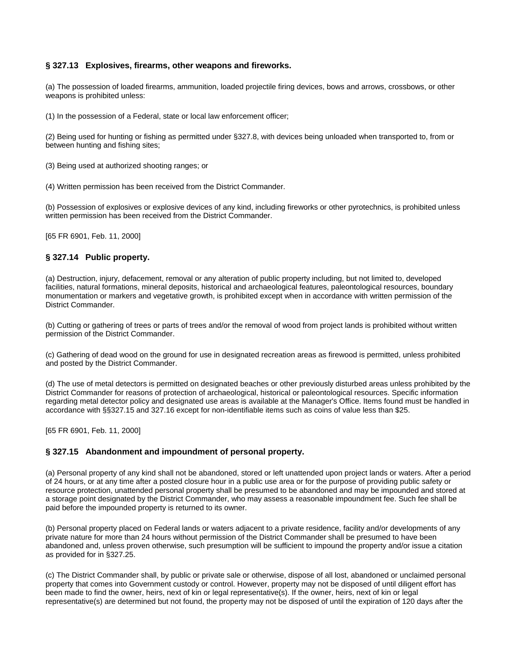## <span id="page-8-0"></span>**§ 327.13 Explosives, firearms, other weapons and fireworks.**

(a) The possession of loaded firearms, ammunition, loaded projectile firing devices, bows and arrows, crossbows, or other weapons is prohibited unless:

(1) In the possession of a Federal, state or local law enforcement officer;

(2) Being used for hunting or fishing as permitted under §327.8, with devices being unloaded when transported to, from or between hunting and fishing sites;

(3) Being used at authorized shooting ranges; or

(4) Written permission has been received from the District Commander.

(b) Possession of explosives or explosive devices of any kind, including fireworks or other pyrotechnics, is prohibited unless written permission has been received from the District Commander.

[65 FR 6901, Feb. 11, 2000]

#### **§ 327.14 Public property.**

(a) Destruction, injury, defacement, removal or any alteration of public property including, but not limited to, developed facilities, natural formations, mineral deposits, historical and archaeological features, paleontological resources, boundary monumentation or markers and vegetative growth, is prohibited except when in accordance with written permission of the District Commander.

(b) Cutting or gathering of trees or parts of trees and/or the removal of wood from project lands is prohibited without written permission of the District Commander.

(c) Gathering of dead wood on the ground for use in designated recreation areas as firewood is permitted, unless prohibited and posted by the District Commander.

(d) The use of metal detectors is permitted on designated beaches or other previously disturbed areas unless prohibited by the District Commander for reasons of protection of archaeological, historical or paleontological resources. Specific information regarding metal detector policy and designated use areas is available at the Manager's Office. Items found must be handled in accordance with §§327.15 and 327.16 except for non-identifiable items such as coins of value less than \$25.

[65 FR 6901, Feb. 11, 2000]

## **§ 327.15 Abandonment and impoundment of personal property.**

(a) Personal property of any kind shall not be abandoned, stored or left unattended upon project lands or waters. After a period of 24 hours, or at any time after a posted closure hour in a public use area or for the purpose of providing public safety or resource protection, unattended personal property shall be presumed to be abandoned and may be impounded and stored at a storage point designated by the District Commander, who may assess a reasonable impoundment fee. Such fee shall be paid before the impounded property is returned to its owner.

(b) Personal property placed on Federal lands or waters adjacent to a private residence, facility and/or developments of any private nature for more than 24 hours without permission of the District Commander shall be presumed to have been abandoned and, unless proven otherwise, such presumption will be sufficient to impound the property and/or issue a citation as provided for in §327.25.

(c) The District Commander shall, by public or private sale or otherwise, dispose of all lost, abandoned or unclaimed personal property that comes into Government custody or control. However, property may not be disposed of until diligent effort has been made to find the owner, heirs, next of kin or legal representative(s). If the owner, heirs, next of kin or legal representative(s) are determined but not found, the property may not be disposed of until the expiration of 120 days after the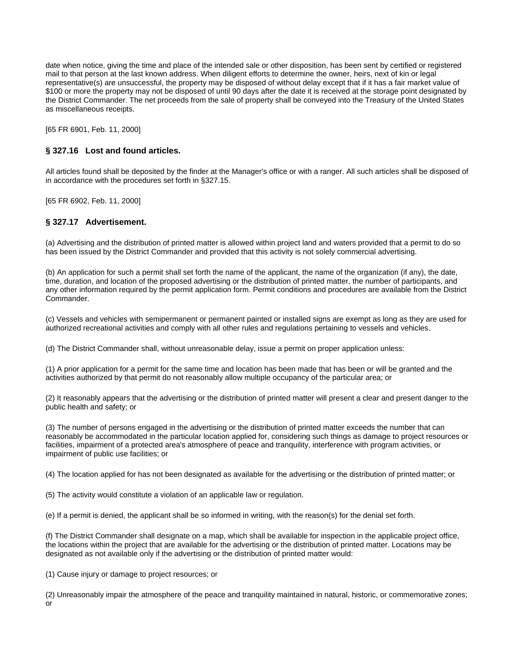<span id="page-9-0"></span>date when notice, giving the time and place of the intended sale or other disposition, has been sent by certified or registered mail to that person at the last known address. When diligent efforts to determine the owner, heirs, next of kin or legal representative(s) are unsuccessful, the property may be disposed of without delay except that if it has a fair market value of \$100 or more the property may not be disposed of until 90 days after the date it is received at the storage point designated by the District Commander. The net proceeds from the sale of property shall be conveyed into the Treasury of the United States as miscellaneous receipts.

[65 FR 6901, Feb. 11, 2000]

#### **§ 327.16 Lost and found articles.**

All articles found shall be deposited by the finder at the Manager's office or with a ranger. All such articles shall be disposed of in accordance with the procedures set forth in §327.15.

[65 FR 6902, Feb. 11, 2000]

#### **§ 327.17 Advertisement.**

(a) Advertising and the distribution of printed matter is allowed within project land and waters provided that a permit to do so has been issued by the District Commander and provided that this activity is not solely commercial advertising.

(b) An application for such a permit shall set forth the name of the applicant, the name of the organization (if any), the date, time, duration, and location of the proposed advertising or the distribution of printed matter, the number of participants, and any other information required by the permit application form. Permit conditions and procedures are available from the District Commander.

(c) Vessels and vehicles with semipermanent or permanent painted or installed signs are exempt as long as they are used for authorized recreational activities and comply with all other rules and regulations pertaining to vessels and vehicles.

(d) The District Commander shall, without unreasonable delay, issue a permit on proper application unless:

(1) A prior application for a permit for the same time and location has been made that has been or will be granted and the activities authorized by that permit do not reasonably allow multiple occupancy of the particular area; or

(2) It reasonably appears that the advertising or the distribution of printed matter will present a clear and present danger to the public health and safety; or

(3) The number of persons engaged in the advertising or the distribution of printed matter exceeds the number that can reasonably be accommodated in the particular location applied for, considering such things as damage to project resources or facilities, impairment of a protected area's atmosphere of peace and tranquility, interference with program activities, or impairment of public use facilities; or

(4) The location applied for has not been designated as available for the advertising or the distribution of printed matter; or

(5) The activity would constitute a violation of an applicable law or regulation.

(e) If a permit is denied, the applicant shall be so informed in writing, with the reason(s) for the denial set forth.

(f) The District Commander shall designate on a map, which shall be available for inspection in the applicable project office, the locations within the project that are available for the advertising or the distribution of printed matter. Locations may be designated as not available only if the advertising or the distribution of printed matter would:

(1) Cause injury or damage to project resources; or

(2) Unreasonably impair the atmosphere of the peace and tranquility maintained in natural, historic, or commemorative zones; or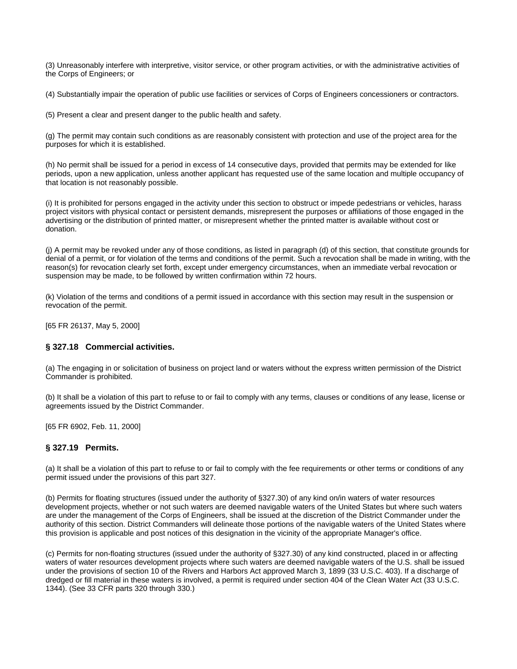<span id="page-10-0"></span>(3) Unreasonably interfere with interpretive, visitor service, or other program activities, or with the administrative activities of the Corps of Engineers; or

(4) Substantially impair the operation of public use facilities or services of Corps of Engineers concessioners or contractors.

(5) Present a clear and present danger to the public health and safety.

(g) The permit may contain such conditions as are reasonably consistent with protection and use of the project area for the purposes for which it is established.

(h) No permit shall be issued for a period in excess of 14 consecutive days, provided that permits may be extended for like periods, upon a new application, unless another applicant has requested use of the same location and multiple occupancy of that location is not reasonably possible.

(i) It is prohibited for persons engaged in the activity under this section to obstruct or impede pedestrians or vehicles, harass project visitors with physical contact or persistent demands, misrepresent the purposes or affiliations of those engaged in the advertising or the distribution of printed matter, or misrepresent whether the printed matter is available without cost or donation.

(j) A permit may be revoked under any of those conditions, as listed in paragraph (d) of this section, that constitute grounds for denial of a permit, or for violation of the terms and conditions of the permit. Such a revocation shall be made in writing, with the reason(s) for revocation clearly set forth, except under emergency circumstances, when an immediate verbal revocation or suspension may be made, to be followed by written confirmation within 72 hours.

(k) Violation of the terms and conditions of a permit issued in accordance with this section may result in the suspension or revocation of the permit.

[65 FR 26137, May 5, 2000]

## **§ 327.18 Commercial activities.**

(a) The engaging in or solicitation of business on project land or waters without the express written permission of the District Commander is prohibited.

(b) It shall be a violation of this part to refuse to or fail to comply with any terms, clauses or conditions of any lease, license or agreements issued by the District Commander.

[65 FR 6902, Feb. 11, 2000]

#### **§ 327.19 Permits.**

(a) It shall be a violation of this part to refuse to or fail to comply with the fee requirements or other terms or conditions of any permit issued under the provisions of this part 327.

(b) Permits for floating structures (issued under the authority of §327.30) of any kind on/in waters of water resources development projects, whether or not such waters are deemed navigable waters of the United States but where such waters are under the management of the Corps of Engineers, shall be issued at the discretion of the District Commander under the authority of this section. District Commanders will delineate those portions of the navigable waters of the United States where this provision is applicable and post notices of this designation in the vicinity of the appropriate Manager's office.

(c) Permits for non-floating structures (issued under the authority of §327.30) of any kind constructed, placed in or affecting waters of water resources development projects where such waters are deemed navigable waters of the U.S. shall be issued under the provisions of section 10 of the Rivers and Harbors Act approved March 3, 1899 (33 U.S.C. 403). If a discharge of dredged or fill material in these waters is involved, a permit is required under section 404 of the Clean Water Act (33 U.S.C. 1344). (See 33 CFR parts 320 through 330.)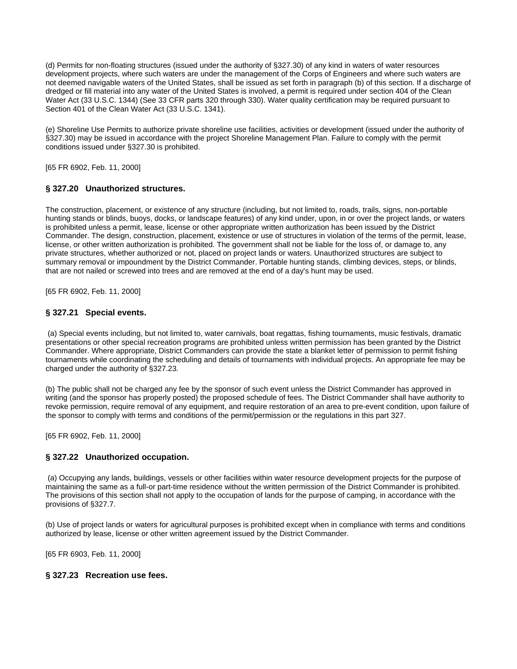<span id="page-11-0"></span>(d) Permits for non-floating structures (issued under the authority of §327.30) of any kind in waters of water resources development projects, where such waters are under the management of the Corps of Engineers and where such waters are not deemed navigable waters of the United States, shall be issued as set forth in paragraph (b) of this section. If a discharge of dredged or fill material into any water of the United States is involved, a permit is required under section 404 of the Clean Water Act (33 U.S.C. 1344) (See 33 CFR parts 320 through 330). Water quality certification may be required pursuant to Section 401 of the Clean Water Act (33 U.S.C. 1341).

(e) Shoreline Use Permits to authorize private shoreline use facilities, activities or development (issued under the authority of §327.30) may be issued in accordance with the project Shoreline Management Plan. Failure to comply with the permit conditions issued under §327.30 is prohibited.

[65 FR 6902, Feb. 11, 2000]

## **§ 327.20 Unauthorized structures.**

The construction, placement, or existence of any structure (including, but not limited to, roads, trails, signs, non-portable hunting stands or blinds, buoys, docks, or landscape features) of any kind under, upon, in or over the project lands, or waters is prohibited unless a permit, lease, license or other appropriate written authorization has been issued by the District Commander. The design, construction, placement, existence or use of structures in violation of the terms of the permit, lease, license, or other written authorization is prohibited. The government shall not be liable for the loss of, or damage to, any private structures, whether authorized or not, placed on project lands or waters. Unauthorized structures are subject to summary removal or impoundment by the District Commander. Portable hunting stands, climbing devices, steps, or blinds, that are not nailed or screwed into trees and are removed at the end of a day's hunt may be used.

[65 FR 6902, Feb. 11, 2000]

## **§ 327.21 Special events.**

 (a) Special events including, but not limited to, water carnivals, boat regattas, fishing tournaments, music festivals, dramatic presentations or other special recreation programs are prohibited unless written permission has been granted by the District Commander. Where appropriate, District Commanders can provide the state a blanket letter of permission to permit fishing tournaments while coordinating the scheduling and details of tournaments with individual projects. An appropriate fee may be charged under the authority of §327.23.

(b) The public shall not be charged any fee by the sponsor of such event unless the District Commander has approved in writing (and the sponsor has properly posted) the proposed schedule of fees. The District Commander shall have authority to revoke permission, require removal of any equipment, and require restoration of an area to pre-event condition, upon failure of the sponsor to comply with terms and conditions of the permit/permission or the regulations in this part 327.

[65 FR 6902, Feb. 11, 2000]

## **§ 327.22 Unauthorized occupation.**

 (a) Occupying any lands, buildings, vessels or other facilities within water resource development projects for the purpose of maintaining the same as a full-or part-time residence without the written permission of the District Commander is prohibited. The provisions of this section shall not apply to the occupation of lands for the purpose of camping, in accordance with the provisions of §327.7.

(b) Use of project lands or waters for agricultural purposes is prohibited except when in compliance with terms and conditions authorized by lease, license or other written agreement issued by the District Commander.

[65 FR 6903, Feb. 11, 2000]

## **§ 327.23 Recreation use fees.**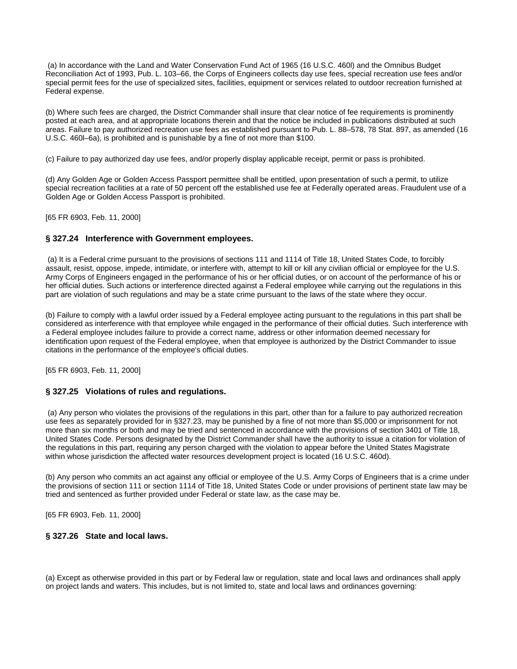<span id="page-12-0"></span> (a) In accordance with the Land and Water Conservation Fund Act of 1965 (16 U.S.C. 460l) and the Omnibus Budget Reconciliation Act of 1993, Pub. L. 103–66, the Corps of Engineers collects day use fees, special recreation use fees and/or special permit fees for the use of specialized sites, facilities, equipment or services related to outdoor recreation furnished at Federal expense.

(b) Where such fees are charged, the District Commander shall insure that clear notice of fee requirements is prominently posted at each area, and at appropriate locations therein and that the notice be included in publications distributed at such areas. Failure to pay authorized recreation use fees as established pursuant to Pub. L. 88–578, 78 Stat. 897, as amended (16 U.S.C. 460l–6a), is prohibited and is punishable by a fine of not more than \$100.

(c) Failure to pay authorized day use fees, and/or properly display applicable receipt, permit or pass is prohibited.

(d) Any Golden Age or Golden Access Passport permittee shall be entitled, upon presentation of such a permit, to utilize special recreation facilities at a rate of 50 percent off the established use fee at Federally operated areas. Fraudulent use of a Golden Age or Golden Access Passport is prohibited.

[65 FR 6903, Feb. 11, 2000]

#### **§ 327.24 Interference with Government employees.**

 (a) It is a Federal crime pursuant to the provisions of sections 111 and 1114 of Title 18, United States Code, to forcibly assault, resist, oppose, impede, intimidate, or interfere with, attempt to kill or kill any civilian official or employee for the U.S. Army Corps of Engineers engaged in the performance of his or her official duties, or on account of the performance of his or her official duties. Such actions or interference directed against a Federal employee while carrying out the regulations in this part are violation of such regulations and may be a state crime pursuant to the laws of the state where they occur.

(b) Failure to comply with a lawful order issued by a Federal employee acting pursuant to the regulations in this part shall be considered as interference with that employee while engaged in the performance of their official duties. Such interference with a Federal employee includes failure to provide a correct name, address or other information deemed necessary for identification upon request of the Federal employee, when that employee is authorized by the District Commander to issue citations in the performance of the employee's official duties.

[65 FR 6903, Feb. 11, 2000]

## **§ 327.25 Violations of rules and regulations.**

 (a) Any person who violates the provisions of the regulations in this part, other than for a failure to pay authorized recreation use fees as separately provided for in §327.23, may be punished by a fine of not more than \$5,000 or imprisonment for not more than six months or both and may be tried and sentenced in accordance with the provisions of section 3401 of Title 18, United States Code. Persons designated by the District Commander shall have the authority to issue a citation for violation of the regulations in this part, requiring any person charged with the violation to appear before the United States Magistrate within whose jurisdiction the affected water resources development project is located (16 U.S.C. 460d).

(b) Any person who commits an act against any official or employee of the U.S. Army Corps of Engineers that is a crime under the provisions of section 111 or section 1114 of Title 18, United States Code or under provisions of pertinent state law may be tried and sentenced as further provided under Federal or state law, as the case may be.

[65 FR 6903, Feb. 11, 2000]

## **§ 327.26 State and local laws.**

(a) Except as otherwise provided in this part or by Federal law or regulation, state and local laws and ordinances shall apply on project lands and waters. This includes, but is not limited to, state and local laws and ordinances governing: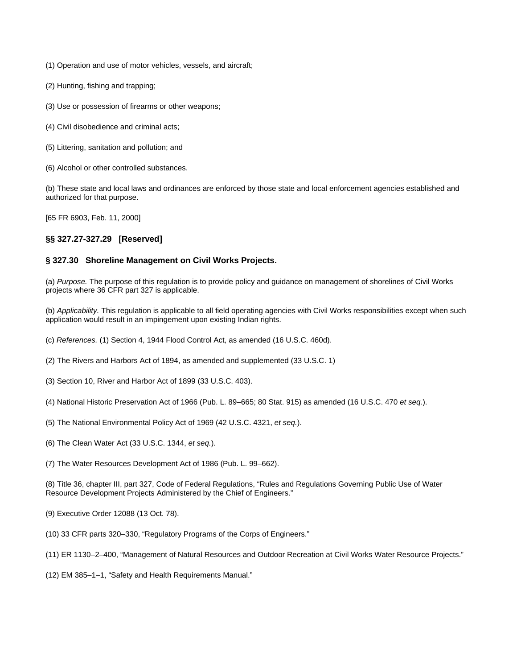- <span id="page-13-0"></span>(1) Operation and use of motor vehicles, vessels, and aircraft;
- (2) Hunting, fishing and trapping;
- (3) Use or possession of firearms or other weapons;
- (4) Civil disobedience and criminal acts;
- (5) Littering, sanitation and pollution; and
- (6) Alcohol or other controlled substances.

(b) These state and local laws and ordinances are enforced by those state and local enforcement agencies established and authorized for that purpose.

[65 FR 6903, Feb. 11, 2000]

## **§§ 327.27-327.29 [Reserved]**

## **§ 327.30 Shoreline Management on Civil Works Projects.**

(a) *Purpose.* The purpose of this regulation is to provide policy and guidance on management of shorelines of Civil Works projects where 36 CFR part 327 is applicable.

(b) *Applicability.* This regulation is applicable to all field operating agencies with Civil Works responsibilities except when such application would result in an impingement upon existing Indian rights.

- (c) *References.* (1) Section 4, 1944 Flood Control Act, as amended (16 U.S.C. 460d).
- (2) The Rivers and Harbors Act of 1894, as amended and supplemented (33 U.S.C. 1)
- (3) Section 10, River and Harbor Act of 1899 (33 U.S.C. 403).
- (4) National Historic Preservation Act of 1966 (Pub. L. 89–665; 80 Stat. 915) as amended (16 U.S.C. 470 *et seq.*).
- (5) The National Environmental Policy Act of 1969 (42 U.S.C. 4321, *et seq.*).
- (6) The Clean Water Act (33 U.S.C. 1344, *et seq.*).
- (7) The Water Resources Development Act of 1986 (Pub. L. 99–662).

(8) Title 36, chapter III, part 327, Code of Federal Regulations, "Rules and Regulations Governing Public Use of Water Resource Development Projects Administered by the Chief of Engineers."

- (9) Executive Order 12088 (13 Oct. 78).
- (10) 33 CFR parts 320–330, "Regulatory Programs of the Corps of Engineers."
- (11) ER 1130–2–400, "Management of Natural Resources and Outdoor Recreation at Civil Works Water Resource Projects."
- (12) EM 385–1–1, "Safety and Health Requirements Manual."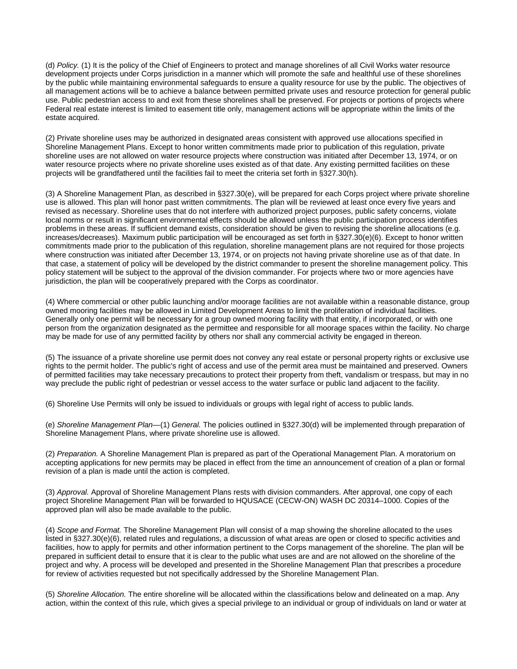(d) *Policy.* (1) It is the policy of the Chief of Engineers to protect and manage shorelines of all Civil Works water resource development projects under Corps jurisdiction in a manner which will promote the safe and healthful use of these shorelines by the public while maintaining environmental safeguards to ensure a quality resource for use by the public. The objectives of all management actions will be to achieve a balance between permitted private uses and resource protection for general public use. Public pedestrian access to and exit from these shorelines shall be preserved. For projects or portions of projects where Federal real estate interest is limited to easement title only, management actions will be appropriate within the limits of the estate acquired.

(2) Private shoreline uses may be authorized in designated areas consistent with approved use allocations specified in Shoreline Management Plans. Except to honor written commitments made prior to publication of this regulation, private shoreline uses are not allowed on water resource projects where construction was initiated after December 13, 1974, or on water resource projects where no private shoreline uses existed as of that date. Any existing permitted facilities on these projects will be grandfathered until the facilities fail to meet the criteria set forth in §327.30(h).

(3) A Shoreline Management Plan, as described in §327.30(e), will be prepared for each Corps project where private shoreline use is allowed. This plan will honor past written commitments. The plan will be reviewed at least once every five years and revised as necessary. Shoreline uses that do not interfere with authorized project purposes, public safety concerns, violate local norms or result in significant environmental effects should be allowed unless the public participation process identifies problems in these areas. If sufficient demand exists, consideration should be given to revising the shoreline allocations (e.g. increases/decreases). Maximum public participation will be encouraged as set forth in §327.30(e)(6). Except to honor written commitments made prior to the publication of this regulation, shoreline management plans are not required for those projects where construction was initiated after December 13, 1974, or on projects not having private shoreline use as of that date. In that case, a statement of policy will be developed by the district commander to present the shoreline management policy. This policy statement will be subject to the approval of the division commander. For projects where two or more agencies have jurisdiction, the plan will be cooperatively prepared with the Corps as coordinator.

(4) Where commercial or other public launching and/or moorage facilities are not available within a reasonable distance, group owned mooring facilities may be allowed in Limited Development Areas to limit the proliferation of individual facilities. Generally only one permit will be necessary for a group owned mooring facility with that entity, if incorporated, or with one person from the organization designated as the permittee and responsible for all moorage spaces within the facility. No charge may be made for use of any permitted facility by others nor shall any commercial activity be engaged in thereon.

(5) The issuance of a private shoreline use permit does not convey any real estate or personal property rights or exclusive use rights to the permit holder. The public's right of access and use of the permit area must be maintained and preserved. Owners of permitted facilities may take necessary precautions to protect their property from theft, vandalism or trespass, but may in no way preclude the public right of pedestrian or vessel access to the water surface or public land adjacent to the facility.

(6) Shoreline Use Permits will only be issued to individuals or groups with legal right of access to public lands.

(e) *Shoreline Management Plan*—(1) *General.* The policies outlined in §327.30(d) will be implemented through preparation of Shoreline Management Plans, where private shoreline use is allowed.

(2) *Preparation.* A Shoreline Management Plan is prepared as part of the Operational Management Plan. A moratorium on accepting applications for new permits may be placed in effect from the time an announcement of creation of a plan or formal revision of a plan is made until the action is completed.

(3) *Approval.* Approval of Shoreline Management Plans rests with division commanders. After approval, one copy of each project Shoreline Management Plan will be forwarded to HQUSACE (CECW-ON) WASH DC 20314–1000. Copies of the approved plan will also be made available to the public.

(4) *Scope and Format.* The Shoreline Management Plan will consist of a map showing the shoreline allocated to the uses listed in §327.30(e)(6), related rules and regulations, a discussion of what areas are open or closed to specific activities and facilities, how to apply for permits and other information pertinent to the Corps management of the shoreline. The plan will be prepared in sufficient detail to ensure that it is clear to the public what uses are and are not allowed on the shoreline of the project and why. A process will be developed and presented in the Shoreline Management Plan that prescribes a procedure for review of activities requested but not specifically addressed by the Shoreline Management Plan.

(5) *Shoreline Allocation.* The entire shoreline will be allocated within the classifications below and delineated on a map. Any action, within the context of this rule, which gives a special privilege to an individual or group of individuals on land or water at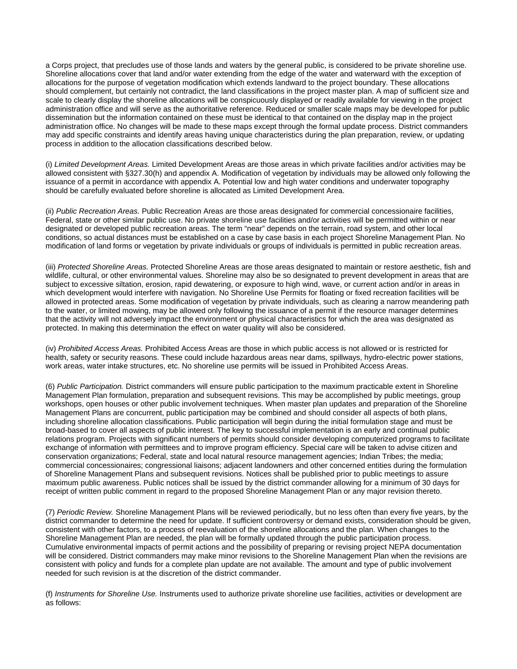a Corps project, that precludes use of those lands and waters by the general public, is considered to be private shoreline use. Shoreline allocations cover that land and/or water extending from the edge of the water and waterward with the exception of allocations for the purpose of vegetation modification which extends landward to the project boundary. These allocations should complement, but certainly not contradict, the land classifications in the project master plan. A map of sufficient size and scale to clearly display the shoreline allocations will be conspicuously displayed or readily available for viewing in the project administration office and will serve as the authoritative reference. Reduced or smaller scale maps may be developed for public dissemination but the information contained on these must be identical to that contained on the display map in the project administration office. No changes will be made to these maps except through the formal update process. District commanders may add specific constraints and identify areas having unique characteristics during the plan preparation, review, or updating process in addition to the allocation classifications described below.

(i) *Limited Development Areas.* Limited Development Areas are those areas in which private facilities and/or activities may be allowed consistent with §327.30(h) and appendix A. Modification of vegetation by individuals may be allowed only following the issuance of a permit in accordance with appendix A. Potential low and high water conditions and underwater topography should be carefully evaluated before shoreline is allocated as Limited Development Area.

(ii) *Public Recreation Areas.* Public Recreation Areas are those areas designated for commercial concessionaire facilities, Federal, state or other similar public use. No private shoreline use facilities and/or activities will be permitted within or near designated or developed public recreation areas. The term "near" depends on the terrain, road system, and other local conditions, so actual distances must be established on a case by case basis in each project Shoreline Management Plan. No modification of land forms or vegetation by private individuals or groups of individuals is permitted in public recreation areas.

(iii) *Protected Shoreline Areas.* Protected Shoreline Areas are those areas designated to maintain or restore aesthetic, fish and wildlife, cultural, or other environmental values. Shoreline may also be so designated to prevent development in areas that are subject to excessive siltation, erosion, rapid dewatering, or exposure to high wind, wave, or current action and/or in areas in which development would interfere with navigation. No Shoreline Use Permits for floating or fixed recreation facilities will be allowed in protected areas. Some modification of vegetation by private individuals, such as clearing a narrow meandering path to the water, or limited mowing, may be allowed only following the issuance of a permit if the resource manager determines that the activity will not adversely impact the environment or physical characteristics for which the area was designated as protected. In making this determination the effect on water quality will also be considered.

(iv) *Prohibited Access Areas.* Prohibited Access Areas are those in which public access is not allowed or is restricted for health, safety or security reasons. These could include hazardous areas near dams, spillways, hydro-electric power stations, work areas, water intake structures, etc. No shoreline use permits will be issued in Prohibited Access Areas.

(6) *Public Participation.* District commanders will ensure public participation to the maximum practicable extent in Shoreline Management Plan formulation, preparation and subsequent revisions. This may be accomplished by public meetings, group workshops, open houses or other public involvement techniques. When master plan updates and preparation of the Shoreline Management Plans are concurrent, public participation may be combined and should consider all aspects of both plans, including shoreline allocation classifications. Public participation will begin during the initial formulation stage and must be broad-based to cover all aspects of public interest. The key to successful implementation is an early and continual public relations program. Projects with significant numbers of permits should consider developing computerized programs to facilitate exchange of information with permittees and to improve program efficiency. Special care will be taken to advise citizen and conservation organizations; Federal, state and local natural resource management agencies; Indian Tribes; the media; commercial concessionaires; congressional liaisons; adjacent landowners and other concerned entities during the formulation of Shoreline Management Plans and subsequent revisions. Notices shall be published prior to public meetings to assure maximum public awareness. Public notices shall be issued by the district commander allowing for a minimum of 30 days for receipt of written public comment in regard to the proposed Shoreline Management Plan or any major revision thereto.

(7) *Periodic Review.* Shoreline Management Plans will be reviewed periodically, but no less often than every five years, by the district commander to determine the need for update. If sufficient controversy or demand exists, consideration should be given, consistent with other factors, to a process of reevaluation of the shoreline allocations and the plan. When changes to the Shoreline Management Plan are needed, the plan will be formally updated through the public participation process. Cumulative environmental impacts of permit actions and the possibility of preparing or revising project NEPA documentation will be considered. District commanders may make minor revisions to the Shoreline Management Plan when the revisions are consistent with policy and funds for a complete plan update are not available. The amount and type of public involvement needed for such revision is at the discretion of the district commander.

(f) *Instruments for Shoreline Use.* Instruments used to authorize private shoreline use facilities, activities or development are as follows: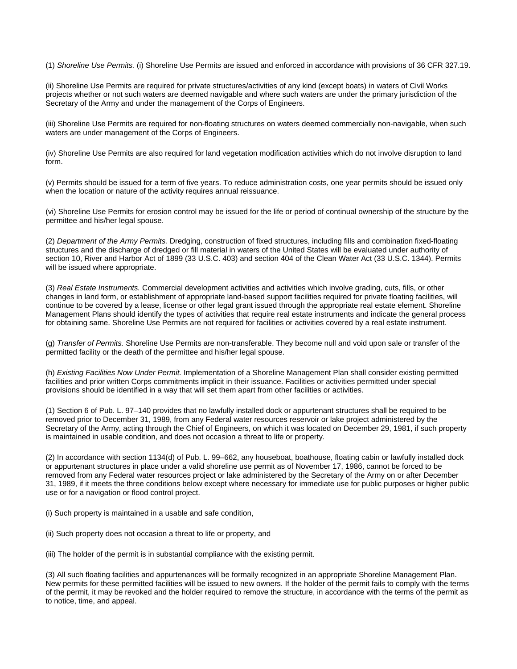(1) *Shoreline Use Permits.* (i) Shoreline Use Permits are issued and enforced in accordance with provisions of 36 CFR 327.19.

(ii) Shoreline Use Permits are required for private structures/activities of any kind (except boats) in waters of Civil Works projects whether or not such waters are deemed navigable and where such waters are under the primary jurisdiction of the Secretary of the Army and under the management of the Corps of Engineers.

(iii) Shoreline Use Permits are required for non-floating structures on waters deemed commercially non-navigable, when such waters are under management of the Corps of Engineers.

(iv) Shoreline Use Permits are also required for land vegetation modification activities which do not involve disruption to land form.

(v) Permits should be issued for a term of five years. To reduce administration costs, one year permits should be issued only when the location or nature of the activity requires annual reissuance.

(vi) Shoreline Use Permits for erosion control may be issued for the life or period of continual ownership of the structure by the permittee and his/her legal spouse.

(2) *Department of the Army Permits.* Dredging, construction of fixed structures, including fills and combination fixed-floating structures and the discharge of dredged or fill material in waters of the United States will be evaluated under authority of section 10, River and Harbor Act of 1899 (33 U.S.C. 403) and section 404 of the Clean Water Act (33 U.S.C. 1344). Permits will be issued where appropriate.

(3) *Real Estate Instruments.* Commercial development activities and activities which involve grading, cuts, fills, or other changes in land form, or establishment of appropriate land-based support facilities required for private floating facilities, will continue to be covered by a lease, license or other legal grant issued through the appropriate real estate element. Shoreline Management Plans should identify the types of activities that require real estate instruments and indicate the general process for obtaining same. Shoreline Use Permits are not required for facilities or activities covered by a real estate instrument.

(g) *Transfer of Permits.* Shoreline Use Permits are non-transferable. They become null and void upon sale or transfer of the permitted facility or the death of the permittee and his/her legal spouse.

(h) *Existing Facilities Now Under Permit.* Implementation of a Shoreline Management Plan shall consider existing permitted facilities and prior written Corps commitments implicit in their issuance. Facilities or activities permitted under special provisions should be identified in a way that will set them apart from other facilities or activities.

(1) Section 6 of Pub. L. 97–140 provides that no lawfully installed dock or appurtenant structures shall be required to be removed prior to December 31, 1989, from any Federal water resources reservoir or lake project administered by the Secretary of the Army, acting through the Chief of Engineers, on which it was located on December 29, 1981, if such property is maintained in usable condition, and does not occasion a threat to life or property.

(2) In accordance with section 1134(d) of Pub. L. 99–662, any houseboat, boathouse, floating cabin or lawfully installed dock or appurtenant structures in place under a valid shoreline use permit as of November 17, 1986, cannot be forced to be removed from any Federal water resources project or lake administered by the Secretary of the Army on or after December 31, 1989, if it meets the three conditions below except where necessary for immediate use for public purposes or higher public use or for a navigation or flood control project.

(i) Such property is maintained in a usable and safe condition,

(ii) Such property does not occasion a threat to life or property, and

(iii) The holder of the permit is in substantial compliance with the existing permit.

(3) All such floating facilities and appurtenances will be formally recognized in an appropriate Shoreline Management Plan. New permits for these permitted facilities will be issued to new owners. If the holder of the permit fails to comply with the terms of the permit, it may be revoked and the holder required to remove the structure, in accordance with the terms of the permit as to notice, time, and appeal.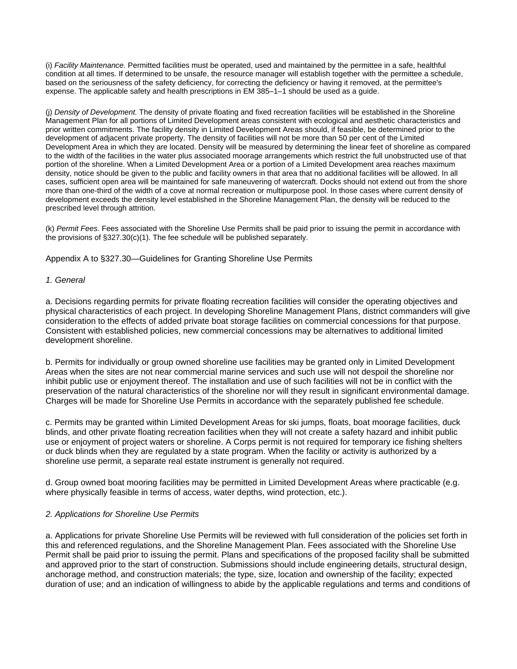(i) *Facility Maintenance.* Permitted facilities must be operated, used and maintained by the permittee in a safe, healthful condition at all times. If determined to be unsafe, the resource manager will establish together with the permittee a schedule, based on the seriousness of the safety deficiency, for correcting the deficiency or having it removed, at the permittee's expense. The applicable safety and health prescriptions in EM 385–1–1 should be used as a guide.

(j) *Density of Development.* The density of private floating and fixed recreation facilities will be established in the Shoreline Management Plan for all portions of Limited Development areas consistent with ecological and aesthetic characteristics and prior written commitments. The facility density in Limited Development Areas should, if feasible, be determined prior to the development of adjacent private property. The density of facilities will not be more than 50 per cent of the Limited Development Area in which they are located. Density will be measured by determining the linear feet of shoreline as compared to the width of the facilities in the water plus associated moorage arrangements which restrict the full unobstructed use of that portion of the shoreline. When a Limited Development Area or a portion of a Limited Development area reaches maximum density, notice should be given to the public and facility owners in that area that no additional facilities will be allowed. In all cases, sufficient open area will be maintained for safe maneuvering of watercraft. Docks should not extend out from the shore more than one-third of the width of a cove at normal recreation or multipurpose pool. In those cases where current density of development exceeds the density level established in the Shoreline Management Plan, the density will be reduced to the prescribed level through attrition.

(k) *Permit Fees.* Fees associated with the Shoreline Use Permits shall be paid prior to issuing the permit in accordance with the provisions of §327.30(c)(1). The fee schedule will be published separately.

Appendix A to §327.30—Guidelines for Granting Shoreline Use Permits

## *1. General*

a. Decisions regarding permits for private floating recreation facilities will consider the operating objectives and physical characteristics of each project. In developing Shoreline Management Plans, district commanders will give consideration to the effects of added private boat storage facilities on commercial concessions for that purpose. Consistent with established policies, new commercial concessions may be alternatives to additional limited development shoreline.

b. Permits for individually or group owned shoreline use facilities may be granted only in Limited Development Areas when the sites are not near commercial marine services and such use will not despoil the shoreline nor inhibit public use or enjoyment thereof. The installation and use of such facilities will not be in conflict with the preservation of the natural characteristics of the shoreline nor will they result in significant environmental damage. Charges will be made for Shoreline Use Permits in accordance with the separately published fee schedule.

c. Permits may be granted within Limited Development Areas for ski jumps, floats, boat moorage facilities, duck blinds, and other private floating recreation facilities when they will not create a safety hazard and inhibit public use or enjoyment of project waters or shoreline. A Corps permit is not required for temporary ice fishing shelters or duck blinds when they are regulated by a state program. When the facility or activity is authorized by a shoreline use permit, a separate real estate instrument is generally not required.

d. Group owned boat mooring facilities may be permitted in Limited Development Areas where practicable (e.g. where physically feasible in terms of access, water depths, wind protection, etc.).

## *2. Applications for Shoreline Use Permits*

a. Applications for private Shoreline Use Permits will be reviewed with full consideration of the policies set forth in this and referenced regulations, and the Shoreline Management Plan. Fees associated with the Shoreline Use Permit shall be paid prior to issuing the permit. Plans and specifications of the proposed facility shall be submitted and approved prior to the start of construction. Submissions should include engineering details, structural design, anchorage method, and construction materials; the type, size, location and ownership of the facility; expected duration of use; and an indication of willingness to abide by the applicable regulations and terms and conditions of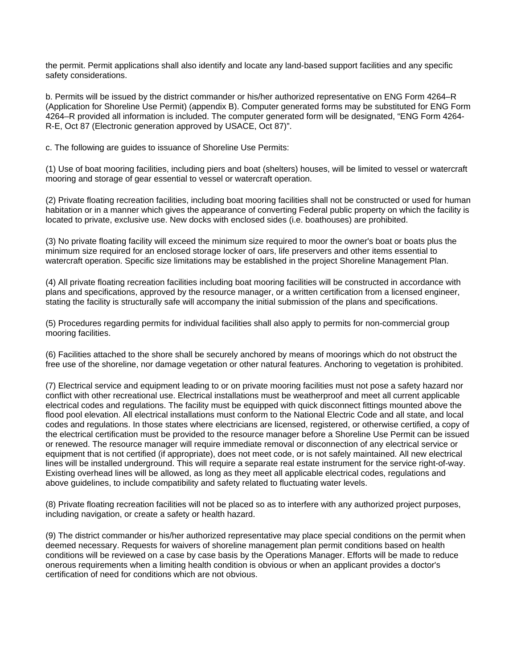the permit. Permit applications shall also identify and locate any land-based support facilities and any specific safety considerations.

b. Permits will be issued by the district commander or his/her authorized representative on ENG Form 4264–R (Application for Shoreline Use Permit) (appendix B). Computer generated forms may be substituted for ENG Form 4264–R provided all information is included. The computer generated form will be designated, "ENG Form 4264- R-E, Oct 87 (Electronic generation approved by USACE, Oct 87)".

c. The following are guides to issuance of Shoreline Use Permits:

(1) Use of boat mooring facilities, including piers and boat (shelters) houses, will be limited to vessel or watercraft mooring and storage of gear essential to vessel or watercraft operation.

(2) Private floating recreation facilities, including boat mooring facilities shall not be constructed or used for human habitation or in a manner which gives the appearance of converting Federal public property on which the facility is located to private, exclusive use. New docks with enclosed sides (i.e. boathouses) are prohibited.

(3) No private floating facility will exceed the minimum size required to moor the owner's boat or boats plus the minimum size required for an enclosed storage locker of oars, life preservers and other items essential to watercraft operation. Specific size limitations may be established in the project Shoreline Management Plan.

(4) All private floating recreation facilities including boat mooring facilities will be constructed in accordance with plans and specifications, approved by the resource manager, or a written certification from a licensed engineer, stating the facility is structurally safe will accompany the initial submission of the plans and specifications.

(5) Procedures regarding permits for individual facilities shall also apply to permits for non-commercial group mooring facilities.

(6) Facilities attached to the shore shall be securely anchored by means of moorings which do not obstruct the free use of the shoreline, nor damage vegetation or other natural features. Anchoring to vegetation is prohibited.

(7) Electrical service and equipment leading to or on private mooring facilities must not pose a safety hazard nor conflict with other recreational use. Electrical installations must be weatherproof and meet all current applicable electrical codes and regulations. The facility must be equipped with quick disconnect fittings mounted above the flood pool elevation. All electrical installations must conform to the National Electric Code and all state, and local codes and regulations. In those states where electricians are licensed, registered, or otherwise certified, a copy of the electrical certification must be provided to the resource manager before a Shoreline Use Permit can be issued or renewed. The resource manager will require immediate removal or disconnection of any electrical service or equipment that is not certified (if appropriate), does not meet code, or is not safely maintained. All new electrical lines will be installed underground. This will require a separate real estate instrument for the service right-of-way. Existing overhead lines will be allowed, as long as they meet all applicable electrical codes, regulations and above guidelines, to include compatibility and safety related to fluctuating water levels.

(8) Private floating recreation facilities will not be placed so as to interfere with any authorized project purposes, including navigation, or create a safety or health hazard.

(9) The district commander or his/her authorized representative may place special conditions on the permit when deemed necessary. Requests for waivers of shoreline management plan permit conditions based on health conditions will be reviewed on a case by case basis by the Operations Manager. Efforts will be made to reduce onerous requirements when a limiting health condition is obvious or when an applicant provides a doctor's certification of need for conditions which are not obvious.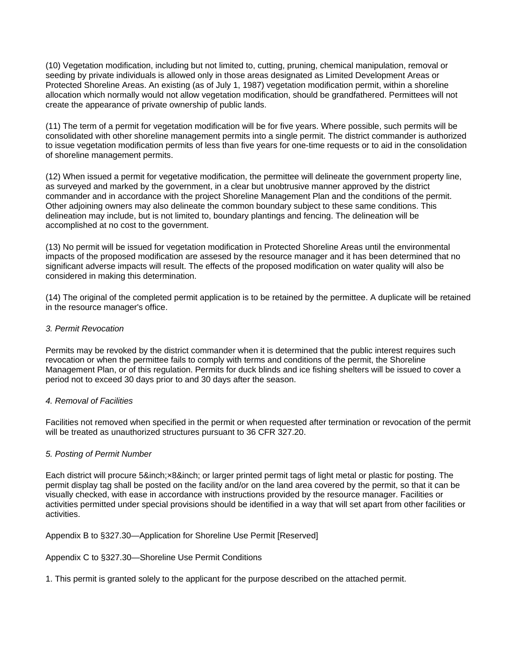(10) Vegetation modification, including but not limited to, cutting, pruning, chemical manipulation, removal or seeding by private individuals is allowed only in those areas designated as Limited Development Areas or Protected Shoreline Areas. An existing (as of July 1, 1987) vegetation modification permit, within a shoreline allocation which normally would not allow vegetation modification, should be grandfathered. Permittees will not create the appearance of private ownership of public lands.

(11) The term of a permit for vegetation modification will be for five years. Where possible, such permits will be consolidated with other shoreline management permits into a single permit. The district commander is authorized to issue vegetation modification permits of less than five years for one-time requests or to aid in the consolidation of shoreline management permits.

(12) When issued a permit for vegetative modification, the permittee will delineate the government property line, as surveyed and marked by the government, in a clear but unobtrusive manner approved by the district commander and in accordance with the project Shoreline Management Plan and the conditions of the permit. Other adjoining owners may also delineate the common boundary subject to these same conditions. This delineation may include, but is not limited to, boundary plantings and fencing. The delineation will be accomplished at no cost to the government.

(13) No permit will be issued for vegetation modification in Protected Shoreline Areas until the environmental impacts of the proposed modification are assesed by the resource manager and it has been determined that no significant adverse impacts will result. The effects of the proposed modification on water quality will also be considered in making this determination.

(14) The original of the completed permit application is to be retained by the permittee. A duplicate will be retained in the resource manager's office.

## *3. Permit Revocation*

Permits may be revoked by the district commander when it is determined that the public interest requires such revocation or when the permittee fails to comply with terms and conditions of the permit, the Shoreline Management Plan, or of this regulation. Permits for duck blinds and ice fishing shelters will be issued to cover a period not to exceed 30 days prior to and 30 days after the season.

## *4. Removal of Facilities*

Facilities not removed when specified in the permit or when requested after termination or revocation of the permit will be treated as unauthorized structures pursuant to 36 CFR 327.20.

## *5. Posting of Permit Number*

Each district will procure 5&inch;×8&inch; or larger printed permit tags of light metal or plastic for posting. The permit display tag shall be posted on the facility and/or on the land area covered by the permit, so that it can be visually checked, with ease in accordance with instructions provided by the resource manager. Facilities or activities permitted under special provisions should be identified in a way that will set apart from other facilities or activities.

## Appendix B to §327.30—Application for Shoreline Use Permit [Reserved]

## Appendix C to §327.30—Shoreline Use Permit Conditions

1. This permit is granted solely to the applicant for the purpose described on the attached permit.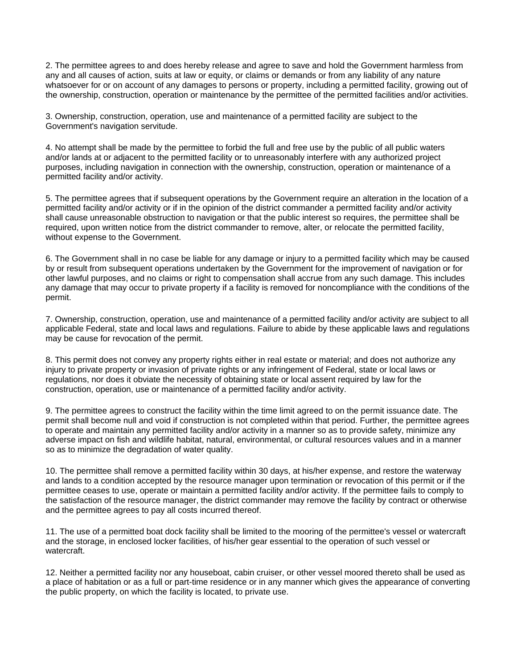2. The permittee agrees to and does hereby release and agree to save and hold the Government harmless from any and all causes of action, suits at law or equity, or claims or demands or from any liability of any nature whatsoever for or on account of any damages to persons or property, including a permitted facility, growing out of the ownership, construction, operation or maintenance by the permittee of the permitted facilities and/or activities.

3. Ownership, construction, operation, use and maintenance of a permitted facility are subject to the Government's navigation servitude.

4. No attempt shall be made by the permittee to forbid the full and free use by the public of all public waters and/or lands at or adjacent to the permitted facility or to unreasonably interfere with any authorized project purposes, including navigation in connection with the ownership, construction, operation or maintenance of a permitted facility and/or activity.

5. The permittee agrees that if subsequent operations by the Government require an alteration in the location of a permitted facility and/or activity or if in the opinion of the district commander a permitted facility and/or activity shall cause unreasonable obstruction to navigation or that the public interest so requires, the permittee shall be required, upon written notice from the district commander to remove, alter, or relocate the permitted facility, without expense to the Government.

6. The Government shall in no case be liable for any damage or injury to a permitted facility which may be caused by or result from subsequent operations undertaken by the Government for the improvement of navigation or for other lawful purposes, and no claims or right to compensation shall accrue from any such damage. This includes any damage that may occur to private property if a facility is removed for noncompliance with the conditions of the permit.

7. Ownership, construction, operation, use and maintenance of a permitted facility and/or activity are subject to all applicable Federal, state and local laws and regulations. Failure to abide by these applicable laws and regulations may be cause for revocation of the permit.

8. This permit does not convey any property rights either in real estate or material; and does not authorize any injury to private property or invasion of private rights or any infringement of Federal, state or local laws or regulations, nor does it obviate the necessity of obtaining state or local assent required by law for the construction, operation, use or maintenance of a permitted facility and/or activity.

9. The permittee agrees to construct the facility within the time limit agreed to on the permit issuance date. The permit shall become null and void if construction is not completed within that period. Further, the permittee agrees to operate and maintain any permitted facility and/or activity in a manner so as to provide safety, minimize any adverse impact on fish and wildlife habitat, natural, environmental, or cultural resources values and in a manner so as to minimize the degradation of water quality.

10. The permittee shall remove a permitted facility within 30 days, at his/her expense, and restore the waterway and lands to a condition accepted by the resource manager upon termination or revocation of this permit or if the permittee ceases to use, operate or maintain a permitted facility and/or activity. If the permittee fails to comply to the satisfaction of the resource manager, the district commander may remove the facility by contract or otherwise and the permittee agrees to pay all costs incurred thereof.

11. The use of a permitted boat dock facility shall be limited to the mooring of the permittee's vessel or watercraft and the storage, in enclosed locker facilities, of his/her gear essential to the operation of such vessel or watercraft.

12. Neither a permitted facility nor any houseboat, cabin cruiser, or other vessel moored thereto shall be used as a place of habitation or as a full or part-time residence or in any manner which gives the appearance of converting the public property, on which the facility is located, to private use.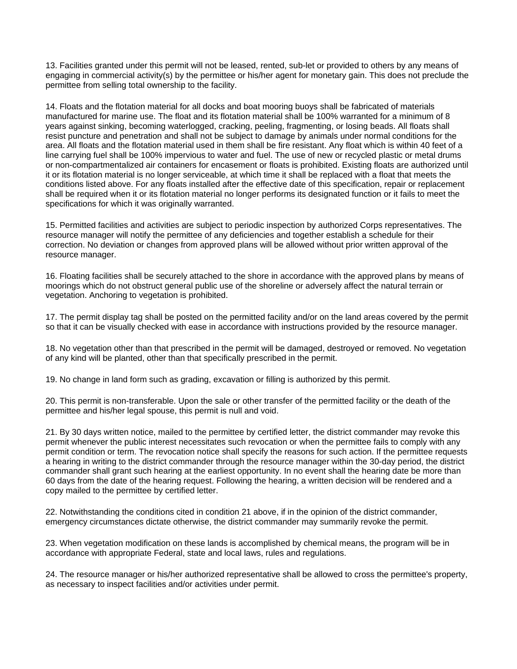13. Facilities granted under this permit will not be leased, rented, sub-let or provided to others by any means of engaging in commercial activity(s) by the permittee or his/her agent for monetary gain. This does not preclude the permittee from selling total ownership to the facility.

14. Floats and the flotation material for all docks and boat mooring buoys shall be fabricated of materials manufactured for marine use. The float and its flotation material shall be 100% warranted for a minimum of 8 years against sinking, becoming waterlogged, cracking, peeling, fragmenting, or losing beads. All floats shall resist puncture and penetration and shall not be subject to damage by animals under normal conditions for the area. All floats and the flotation material used in them shall be fire resistant. Any float which is within 40 feet of a line carrying fuel shall be 100% impervious to water and fuel. The use of new or recycled plastic or metal drums or non-compartmentalized air containers for encasement or floats is prohibited. Existing floats are authorized until it or its flotation material is no longer serviceable, at which time it shall be replaced with a float that meets the conditions listed above. For any floats installed after the effective date of this specification, repair or replacement shall be required when it or its flotation material no longer performs its designated function or it fails to meet the specifications for which it was originally warranted.

15. Permitted facilities and activities are subject to periodic inspection by authorized Corps representatives. The resource manager will notify the permittee of any deficiencies and together establish a schedule for their correction. No deviation or changes from approved plans will be allowed without prior written approval of the resource manager.

16. Floating facilities shall be securely attached to the shore in accordance with the approved plans by means of moorings which do not obstruct general public use of the shoreline or adversely affect the natural terrain or vegetation. Anchoring to vegetation is prohibited.

17. The permit display tag shall be posted on the permitted facility and/or on the land areas covered by the permit so that it can be visually checked with ease in accordance with instructions provided by the resource manager.

18. No vegetation other than that prescribed in the permit will be damaged, destroyed or removed. No vegetation of any kind will be planted, other than that specifically prescribed in the permit.

19. No change in land form such as grading, excavation or filling is authorized by this permit.

20. This permit is non-transferable. Upon the sale or other transfer of the permitted facility or the death of the permittee and his/her legal spouse, this permit is null and void.

21. By 30 days written notice, mailed to the permittee by certified letter, the district commander may revoke this permit whenever the public interest necessitates such revocation or when the permittee fails to comply with any permit condition or term. The revocation notice shall specify the reasons for such action. If the permittee requests a hearing in writing to the district commander through the resource manager within the 30-day period, the district commander shall grant such hearing at the earliest opportunity. In no event shall the hearing date be more than 60 days from the date of the hearing request. Following the hearing, a written decision will be rendered and a copy mailed to the permittee by certified letter.

22. Notwithstanding the conditions cited in condition 21 above, if in the opinion of the district commander, emergency circumstances dictate otherwise, the district commander may summarily revoke the permit.

23. When vegetation modification on these lands is accomplished by chemical means, the program will be in accordance with appropriate Federal, state and local laws, rules and regulations.

24. The resource manager or his/her authorized representative shall be allowed to cross the permittee's property, as necessary to inspect facilities and/or activities under permit.